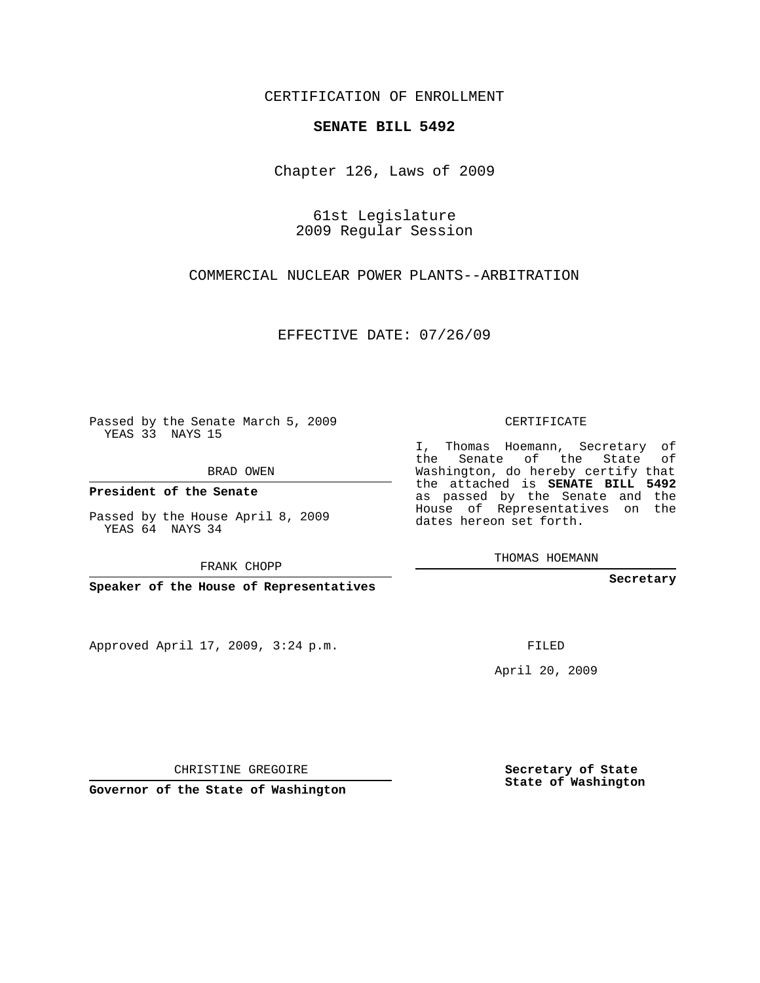CERTIFICATION OF ENROLLMENT

## **SENATE BILL 5492**

Chapter 126, Laws of 2009

61st Legislature 2009 Regular Session

COMMERCIAL NUCLEAR POWER PLANTS--ARBITRATION

EFFECTIVE DATE: 07/26/09

Passed by the Senate March 5, 2009 YEAS 33 NAYS 15

BRAD OWEN

**President of the Senate**

Passed by the House April 8, 2009 YEAS 64 NAYS 34

FRANK CHOPP

**Speaker of the House of Representatives**

Approved April 17, 2009, 3:24 p.m.

CERTIFICATE

I, Thomas Hoemann, Secretary of the Senate of the State of Washington, do hereby certify that the attached is **SENATE BILL 5492** as passed by the Senate and the House of Representatives on the dates hereon set forth.

THOMAS HOEMANN

**Secretary**

FILED

April 20, 2009

**Governor of the State of Washington**

CHRISTINE GREGOIRE

**Secretary of State State of Washington**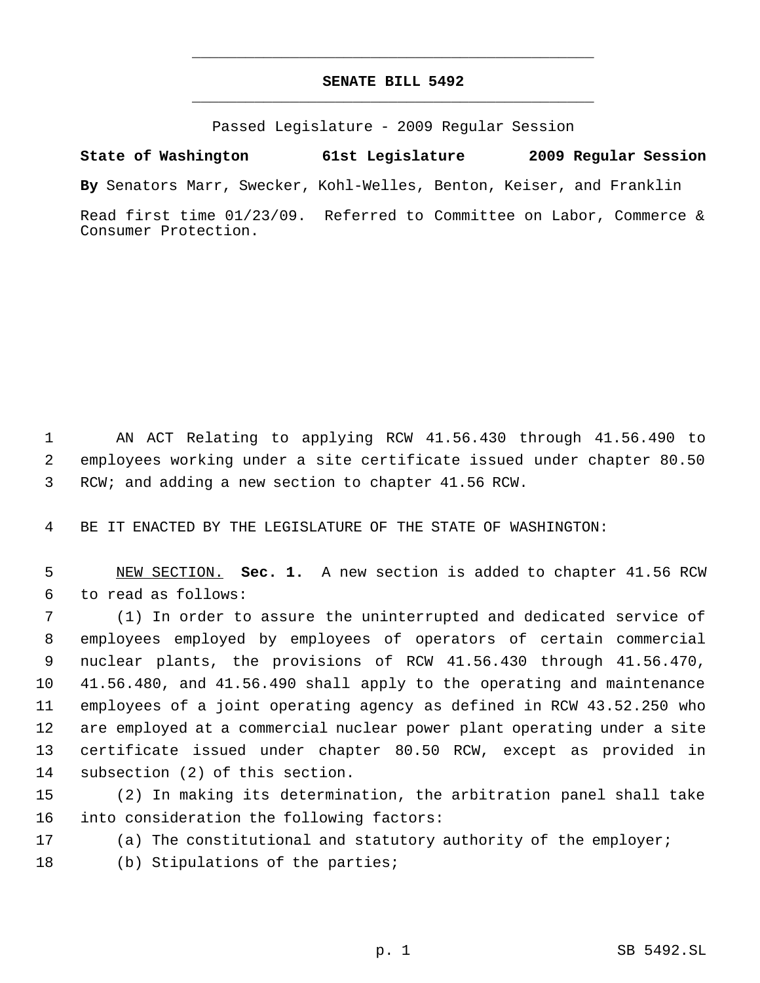## **SENATE BILL 5492** \_\_\_\_\_\_\_\_\_\_\_\_\_\_\_\_\_\_\_\_\_\_\_\_\_\_\_\_\_\_\_\_\_\_\_\_\_\_\_\_\_\_\_\_\_

\_\_\_\_\_\_\_\_\_\_\_\_\_\_\_\_\_\_\_\_\_\_\_\_\_\_\_\_\_\_\_\_\_\_\_\_\_\_\_\_\_\_\_\_\_

Passed Legislature - 2009 Regular Session

**State of Washington 61st Legislature 2009 Regular Session**

**By** Senators Marr, Swecker, Kohl-Welles, Benton, Keiser, and Franklin

Read first time 01/23/09. Referred to Committee on Labor, Commerce & Consumer Protection.

 AN ACT Relating to applying RCW 41.56.430 through 41.56.490 to employees working under a site certificate issued under chapter 80.50 RCW; and adding a new section to chapter 41.56 RCW.

BE IT ENACTED BY THE LEGISLATURE OF THE STATE OF WASHINGTON:

 NEW SECTION. **Sec. 1.** A new section is added to chapter 41.56 RCW to read as follows:

 (1) In order to assure the uninterrupted and dedicated service of employees employed by employees of operators of certain commercial nuclear plants, the provisions of RCW 41.56.430 through 41.56.470, 41.56.480, and 41.56.490 shall apply to the operating and maintenance employees of a joint operating agency as defined in RCW 43.52.250 who are employed at a commercial nuclear power plant operating under a site certificate issued under chapter 80.50 RCW, except as provided in subsection (2) of this section.

 (2) In making its determination, the arbitration panel shall take into consideration the following factors:

(a) The constitutional and statutory authority of the employer;

18 (b) Stipulations of the parties;